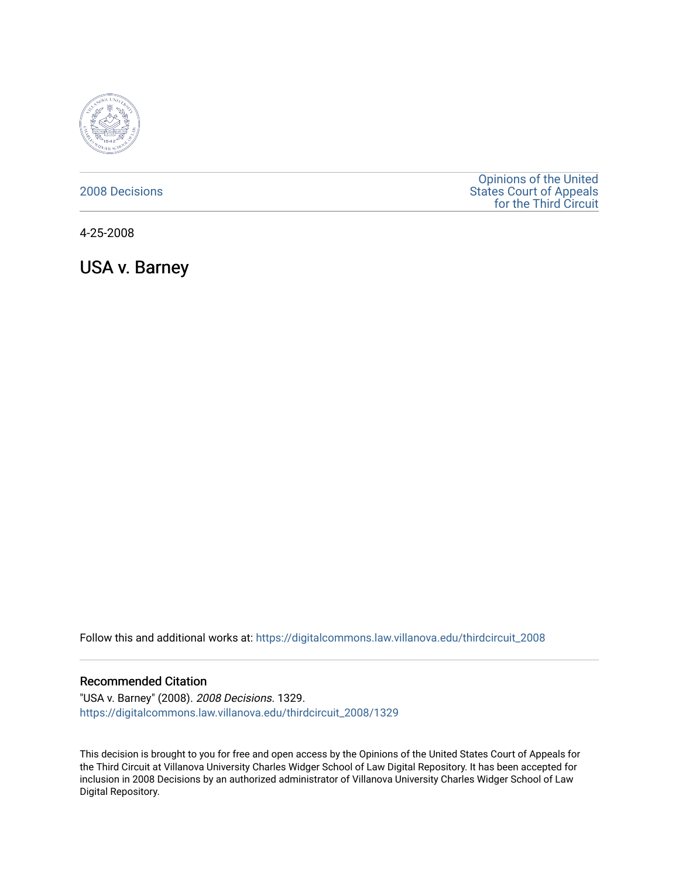

### [2008 Decisions](https://digitalcommons.law.villanova.edu/thirdcircuit_2008)

[Opinions of the United](https://digitalcommons.law.villanova.edu/thirdcircuit)  [States Court of Appeals](https://digitalcommons.law.villanova.edu/thirdcircuit)  [for the Third Circuit](https://digitalcommons.law.villanova.edu/thirdcircuit) 

4-25-2008

USA v. Barney

Follow this and additional works at: [https://digitalcommons.law.villanova.edu/thirdcircuit\\_2008](https://digitalcommons.law.villanova.edu/thirdcircuit_2008?utm_source=digitalcommons.law.villanova.edu%2Fthirdcircuit_2008%2F1329&utm_medium=PDF&utm_campaign=PDFCoverPages) 

#### Recommended Citation

"USA v. Barney" (2008). 2008 Decisions. 1329. [https://digitalcommons.law.villanova.edu/thirdcircuit\\_2008/1329](https://digitalcommons.law.villanova.edu/thirdcircuit_2008/1329?utm_source=digitalcommons.law.villanova.edu%2Fthirdcircuit_2008%2F1329&utm_medium=PDF&utm_campaign=PDFCoverPages) 

This decision is brought to you for free and open access by the Opinions of the United States Court of Appeals for the Third Circuit at Villanova University Charles Widger School of Law Digital Repository. It has been accepted for inclusion in 2008 Decisions by an authorized administrator of Villanova University Charles Widger School of Law Digital Repository.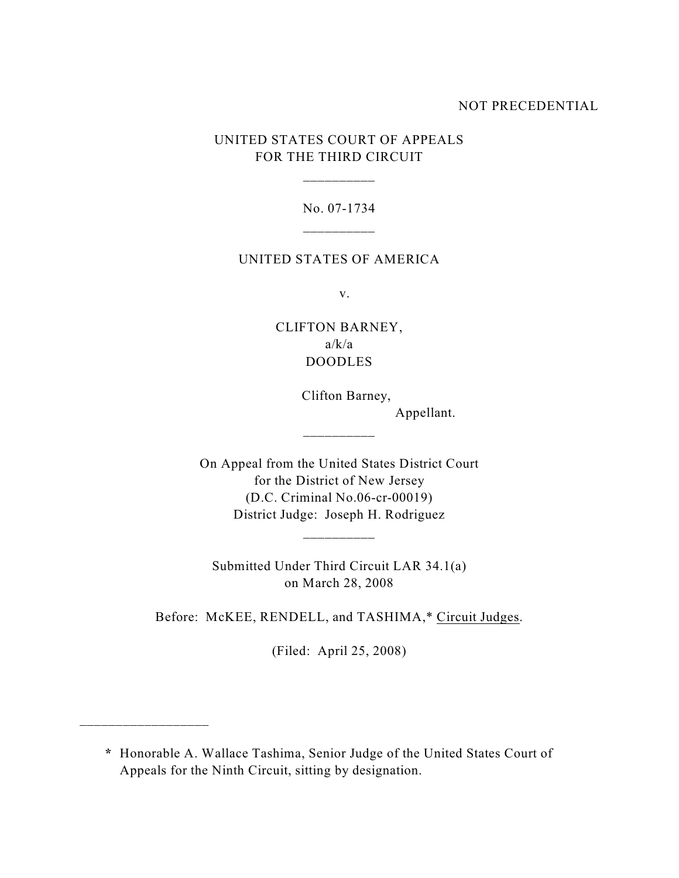#### NOT PRECEDENTIAL

### UNITED STATES COURT OF APPEALS FOR THE THIRD CIRCUIT

\_\_\_\_\_\_\_\_\_\_

# No. 07-1734 \_\_\_\_\_\_\_\_\_\_

#### UNITED STATES OF AMERICA

v.

## CLIFTON BARNEY,  $a/k/a$ DOODLES

 Clifton Barney, Appellant.

On Appeal from the United States District Court for the District of New Jersey (D.C. Criminal No.06-cr-00019) District Judge: Joseph H. Rodriguez

\_\_\_\_\_\_\_\_\_\_

\_\_\_\_\_\_\_\_\_\_

Submitted Under Third Circuit LAR 34.1(a) on March 28, 2008

Before: McKEE, RENDELL, and TASHIMA,\* Circuit Judges.

(Filed: April 25, 2008)

\_\_\_\_\_\_\_\_\_\_\_\_\_\_\_\_\_\_

**\*** Honorable A. Wallace Tashima, Senior Judge of the United States Court of Appeals for the Ninth Circuit, sitting by designation.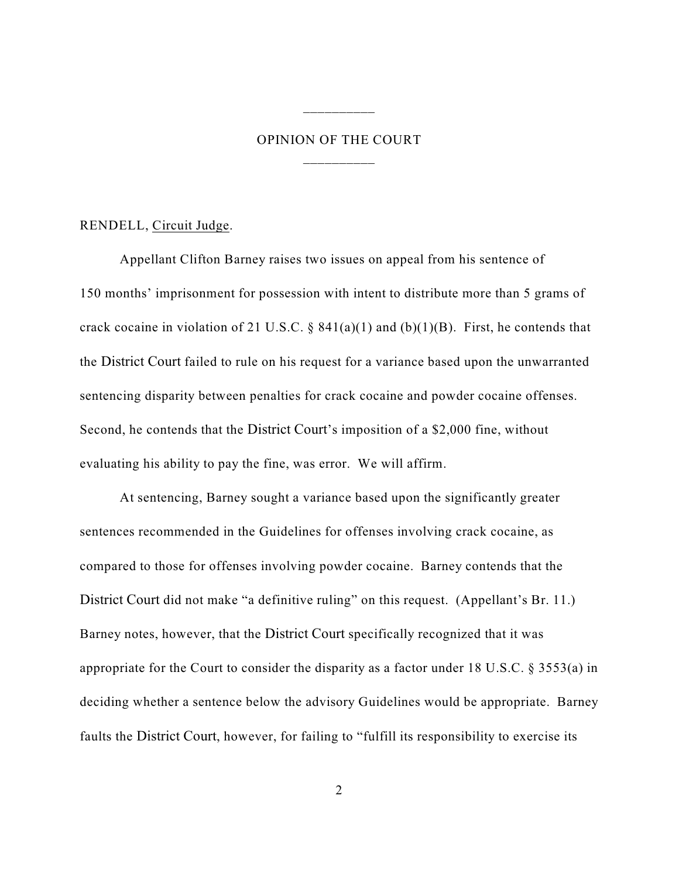# OPINION OF THE COURT \_\_\_\_\_\_\_\_\_\_

\_\_\_\_\_\_\_\_\_\_

#### RENDELL, Circuit Judge.

Appellant Clifton Barney raises two issues on appeal from his sentence of 150 months' imprisonment for possession with intent to distribute more than 5 grams of crack cocaine in violation of 21 U.S.C. §  $841(a)(1)$  and  $(b)(1)(B)$ . First, he contends that the District Court failed to rule on his request for a variance based upon the unwarranted sentencing disparity between penalties for crack cocaine and powder cocaine offenses. Second, he contends that the District Court's imposition of a \$2,000 fine, without evaluating his ability to pay the fine, was error. We will affirm.

At sentencing, Barney sought a variance based upon the significantly greater sentences recommended in the Guidelines for offenses involving crack cocaine, as compared to those for offenses involving powder cocaine. Barney contends that the District Court did not make "a definitive ruling" on this request. (Appellant's Br. 11.) Barney notes, however, that the District Court specifically recognized that it was appropriate for the Court to consider the disparity as a factor under 18 U.S.C. § 3553(a) in deciding whether a sentence below the advisory Guidelines would be appropriate. Barney faults the District Court, however, for failing to "fulfill its responsibility to exercise its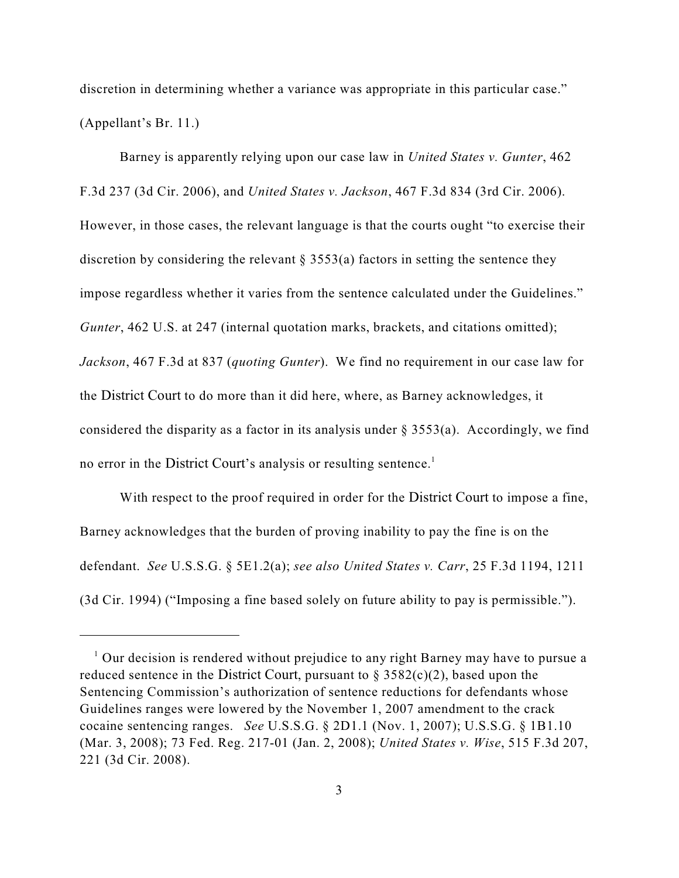discretion in determining whether a variance was appropriate in this particular case." (Appellant's Br. 11.)

Barney is apparently relying upon our case law in *United States v. Gunter*, 462 F.3d 237 (3d Cir. 2006), and *United States v. Jackson*, 467 F.3d 834 (3rd Cir. 2006). However, in those cases, the relevant language is that the courts ought "to exercise their discretion by considering the relevant  $\S 3553(a)$  factors in setting the sentence they impose regardless whether it varies from the sentence calculated under the Guidelines." *Gunter*, 462 U.S. at 247 (internal quotation marks, brackets, and citations omitted); *Jackson*, 467 F.3d at 837 (*quoting Gunter*). We find no requirement in our case law for the District Court to do more than it did here, where, as Barney acknowledges, it considered the disparity as a factor in its analysis under  $\S$  3553(a). Accordingly, we find no error in the District Court's analysis or resulting sentence. 1

With respect to the proof required in order for the District Court to impose a fine, Barney acknowledges that the burden of proving inability to pay the fine is on the defendant. *See* U.S.S.G. § 5E1.2(a); *see also United States v. Carr*, 25 F.3d 1194, 1211 (3d Cir. 1994) ("Imposing a fine based solely on future ability to pay is permissible.").

 $\frac{1}{1}$  Our decision is rendered without prejudice to any right Barney may have to pursue a reduced sentence in the District Court, pursuant to  $\S 3582(c)(2)$ , based upon the Sentencing Commission's authorization of sentence reductions for defendants whose Guidelines ranges were lowered by the November 1, 2007 amendment to the crack cocaine sentencing ranges. *See* U.S.S.G. § 2D1.1 (Nov. 1, 2007); U.S.S.G. § 1B1.10 (Mar. 3, 2008); 73 Fed. Reg. 217-01 (Jan. 2, 2008); *United States v. Wise*, 515 F.3d 207, 221 (3d Cir. 2008).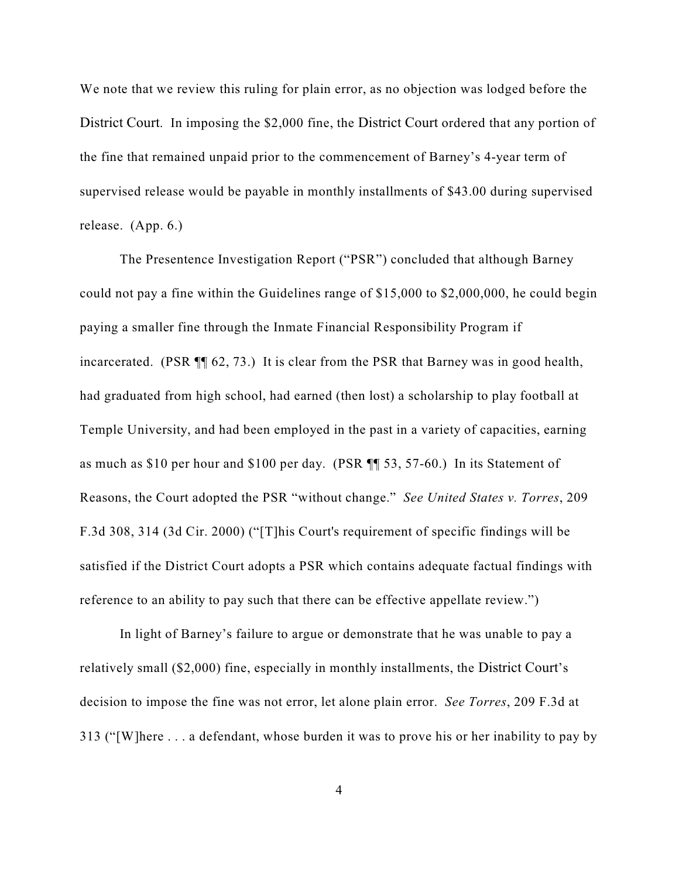We note that we review this ruling for plain error, as no objection was lodged before the District Court. In imposing the \$2,000 fine, the District Court ordered that any portion of the fine that remained unpaid prior to the commencement of Barney's 4-year term of supervised release would be payable in monthly installments of \$43.00 during supervised release. (App. 6.)

The Presentence Investigation Report ("PSR") concluded that although Barney could not pay a fine within the Guidelines range of \$15,000 to \$2,000,000, he could begin paying a smaller fine through the Inmate Financial Responsibility Program if incarcerated. (PSR ¶¶ 62, 73.) It is clear from the PSR that Barney was in good health, had graduated from high school, had earned (then lost) a scholarship to play football at Temple University, and had been employed in the past in a variety of capacities, earning as much as \$10 per hour and \$100 per day. (PSR ¶¶ 53, 57-60.) In its Statement of Reasons, the Court adopted the PSR "without change." *See United States v. Torres*, 209 F.3d 308, 314 (3d Cir. 2000) ("[T]his Court's requirement of specific findings will be satisfied if the District Court adopts a PSR which contains adequate factual findings with reference to an ability to pay such that there can be effective appellate review.")

In light of Barney's failure to argue or demonstrate that he was unable to pay a relatively small (\$2,000) fine, especially in monthly installments, the District Court's decision to impose the fine was not error, let alone plain error. *See Torres*, 209 F.3d at 313 ("[W]here . . . a defendant, whose burden it was to prove his or her inability to pay by